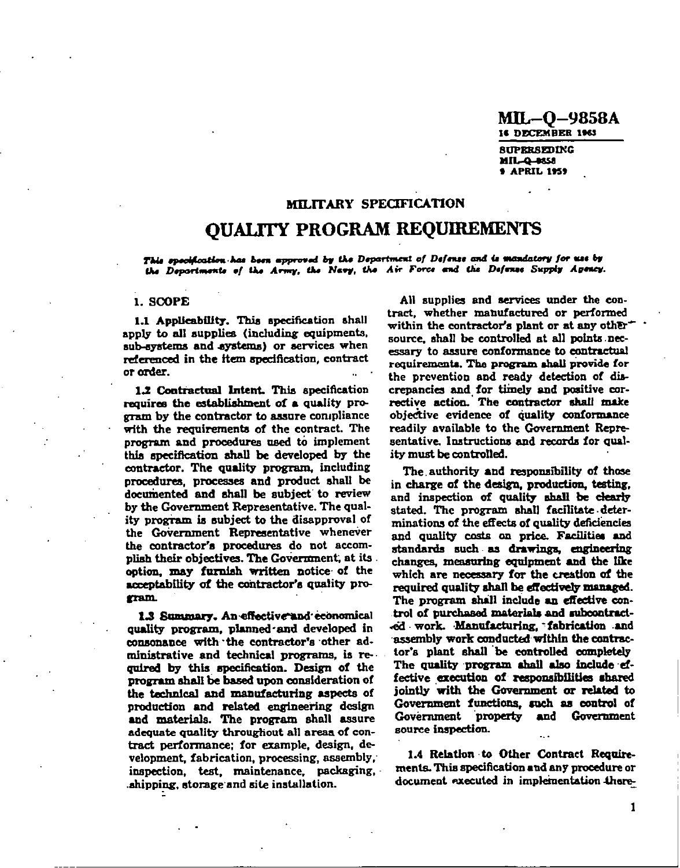**MIL-O-9858A** 16 DECEMBER 1963

**SUPRESEDING** MIL-Q-RSS8 **9 APRIL 1959** 

# **MILITARY SPECIFICATION OUALITY PROGRAM REQUIREMENTS**

This specification has been approved by the Department of Defense and is mandatory for use by the Departments of the Army, the Navy, the Air Force and the Defense Supply Agency.

#### 1. SCOPE

1.1 Applicability. This specification shall apply to all supplies (including equipments, sub-systems and systems) or services when referenced in the item specification, contract or order.

1.2 Contractual Intent. This specification requires the establishment of a quality program by the contractor to assure compliance with the requirements of the contract. The program and procedures used to implement this specification shall be developed by the contractor. The quality program, including procedures, processes and product shall be documented and shall be subject to review by the Government Representative. The quality program is subject to the disapproval of the Government Representative whenever the contractor's procedures do not accomplish their objectives. The Government, at its option, may furnish written notice of the acceptability of the contractor's quality program.

1.3 Summary, An effective and economical quality program, planned and developed in consonance with the contractor's other administrative and technical programs, is required by this specification. Design of the program shall be based upon consideration of the technical and manufacturing aspects of production and related engineering design and materials. The program shall assure adequate quality throughout all areas of contract performance; for example, design, development, fabrication, processing, assembly, inspection, test, maintenance, packaging, ahipping, storage and site installation.

All supplies and services under the contract, whether manufactured or performed within the contractor's plant or at any other source, shall be controlled at all points necessary to assure conformance to contractual requirements. The program shall provide for the prevention and ready detection of discrepancies and for timely and positive corrective action. The contractor shall make objective evidence of quality conformance readily available to the Government Representative. Instructions and records for quality must be controlled.

The authority and responsibility of those in charge of the design, production, testing, and inspection of quality shall be clearly stated. The program shall facilitate determinations of the effects of quality deficiencies and quality costs on price. Facilities and standards such as drawings, engineering changes, measuring equipment and the like which are necessary for the creation of the required quality shall be effectively managed. The program shall include an effective control of purchased materials and subcontracted work. Manufacturing fabrication and assembly work conducted within the contractor's plant shall be controlled completely The quality program shall also include effective execution of responsibilities shared jointly with the Government or related to Government functions, such as control of Government property and Government source inspection.

1.4 Relation to Other Contract Requirements. This specification and any procedure or document executed in implementation there-

 $\mathbf{1}$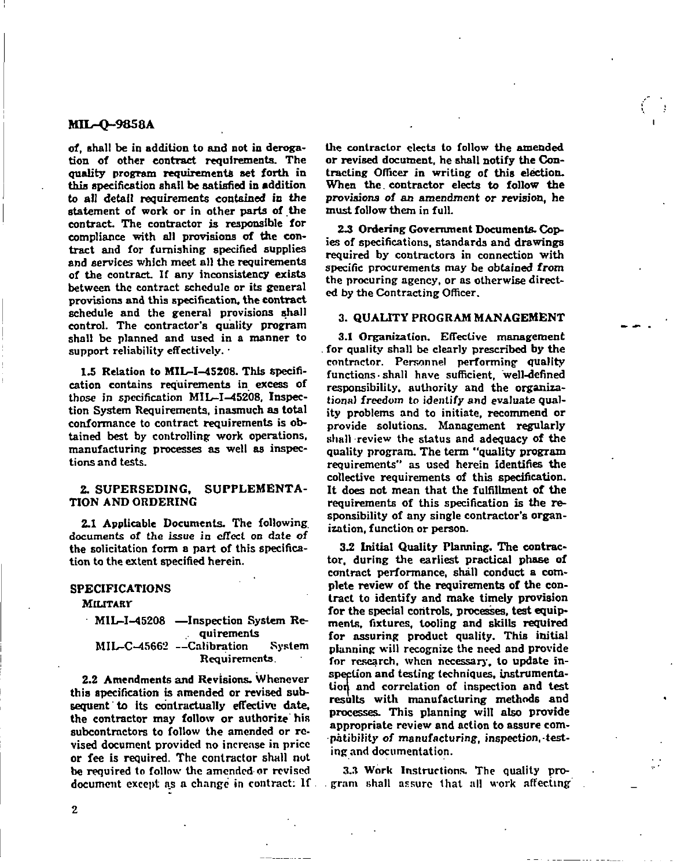#### **MIL-O-9858A**

of, shall be in addition to and not in derogation of other contract requirements. The quality program requirements set forth in this specification shall be satisfied in addition to all detail requirements contained in the statement of work or in other parts of the contract. The contractor is responsible for compliance with all provisions of the contract and for furnishing specified supplies and services which meet all the requirements of the contract. If any inconsistency exists between the contract schedule or its general provisions and this specification, the contract schedule and the general provisions shall control. The contractor's quality program shall be planned and used in a manner to support reliability effectively.

1.5 Relation to MIL-I-45208. This specification contains requirements in excess of those in specification MIL-I-45208, Inspection System Requirements, inasmuch as total conformance to contract requirements is obtained best by controlling work operations, manufacturing processes as well as inspections and tests.

#### 2. SUPERSEDING, SUPPLEMENTA-TION AND ORDERING

2.1 Applicable Documents. The following documents of the issue in effect on date of the solicitation form a part of this specification to the extent specified herein.

#### **SPECIFICATIONS**

#### **MILITARY**

MIL-I-45208 - Inspection System Requirements MIL-C-45662 --Calibration System Requirements.

2.2 Amendments and Revisions. Whenever this specification is amended or revised subsequent to its contractually effective date, the contractor may follow or authorize his subcontractors to follow the amended or revised document provided no increase in price or fee is required. The contractor shall not be required to follow the amended or revised document except as a change in contract: If.

the contractor elects to follow the amended or revised document, he shall notify the Contracting Officer in writing of this election. When the contractor elects to follow the provisions of an amendment or revision, he must follow them in full.

2.3 Ordering Government Documents. Copies of specifications, standards and drawings required by contractors in connection with specific procurements may be obtained from the procuring agency, or as otherwise directed by the Contracting Officer.

#### 3. QUALITY PROGRAM MANAGEMENT

3.1 Organization. Effective management for quality shall be clearly prescribed by the contractor. Personnel performing quality functions shall have sufficient, well-defined responsibility, authority and the organizational freedom to identify and evaluate quality problems and to initiate, recommend or provide solutions. Management regularly shall review the status and adequacy of the quality program. The term "quality program requirements" as used herein identifies the collective requirements of this specification. It does not mean that the fulfillment of the requirements of this specification is the responsibility of any single contractor's organization, function or person.

3.2 Initial Quality Planning. The contractor, during the earliest practical phase of contract performance, shall conduct a complete review of the requirements of the contract to identify and make timely provision for the special controls, processes, test equipments, fixtures, tooling and skills required for assuring product quality. This initial planning will recognize the need and provide for research, when necessary, to update inspection and testing techniques, instrumentation and correlation of inspection and test results with manufacturing methods and processes. This planning will also provide appropriate review and action to assure compatibility of manufacturing, inspection, testing and documentation.

3.3 Work Instructions. The quality program shall assure that all work affecting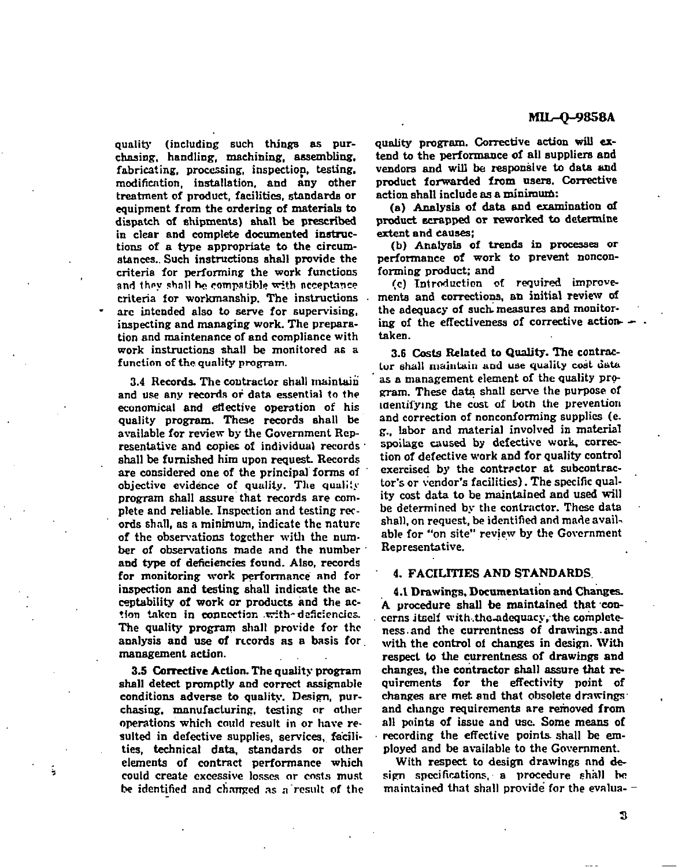quality (including such things as purchasing, handling, machining, assembling, fabricating, processing, inspection, testing, modification, installation, and any other treatment *of* pmduet, faciiitics, standards or equipment from the ordering of materials to dispatch of shipments) shall bs prescribed in clear and complete documented instructions of a type appropriate to the circumstances. Such instructions shall provide the criteria for performing the work functions and they shall be compatible with acceptance criteria for workmanship. The instructions arc intended also to serve for supervising, inspecting and managing work. The preparation and maintenance of and compliance with work instructions shall be monitored as a function of the quality program.

3.4 Records. The contractor shall maintain and use any records of data essential to the economical and etfective operation of his quality program. These records shall be available for review by the Government Rep. resentative and copies of individual records shall be furnished him upon request. Records are considered one of the principal forms of objective evidence of quality. The quality program shall asaure that records are complete and reliable. Inspection and testing rerords shall, as a minimum, indicate the nature of the observations together with the number of observations made and the number and type of deficiencies found. Also, records for monitoring work performance and for inspection and testing shall indicate the acreptability of work or products and the action taken in connection with-deficiencies. The quality program shall provide for the analysis and use of records as a basis for. management action.

3.5 Camecfive Action. The quality program shall detect promptly and correct assignable conditions adverse to quality. Design, purchasing, manufacturing, testing or other operations which could result in or have resulted in defective supplies, services, facilities, technical data, ctandards or other elements of contract performance which could create excessive losses or costs must be identified and changed as a result of the

í,

quality program. Corrective action will exend to the performance of all suppliers and vendors and will be responsive to data and product forwarded from users. Corrective action shall include as a minimum:

(a) Analysis of data and examination of product scrapped or reworked to determine extent and causes:

(b) Analysis of trends in processes or performance of work to prevent nonconforming product; and

(c) Introduction of required improvements and corrections, an initial review of the adequacy of such measures and monitoring of the effectiveness of corrective action- $-$ . taken.

3.6 Costs Related to Quality. The contractor shall maintain and use quality cost data as a management element of the quality program. These data shall scrve the purpose of identifying the cost of both the prevention and correction of nonconforming auppliea (e. g., labor and material involved in materiil spoilage caused by defective work, correction of defective work and for quality control exercised by the contractor at subcontractor"s or \;endor's facilities). The specific quality cost data to be maintained and used will be determined by the contractor. These data shall, on request, be identified and made available for "on site" review by the Government Representative.

### 4. Facilities AND STANDARDS.

4.1 Drawings, Documentation and Changes. A procedure shall be maintained that concerns itself with the adequacy, the completeness and the currentness of drawings and with the control of changes in design. With respect to the currentness of drawings and changes, the contractor shall assure that requirements for the effectivity point of changes are met and that obsolete drawings. and change requirements are removed from all points of issue and USC.Some means of recording the effective points shall be employed and be available to the Government.

With respect to design drawings and design specifications, a procedure shall be maintained that shall provide for the evalua-  $-$ 

 $\overline{\mathbf{3}}$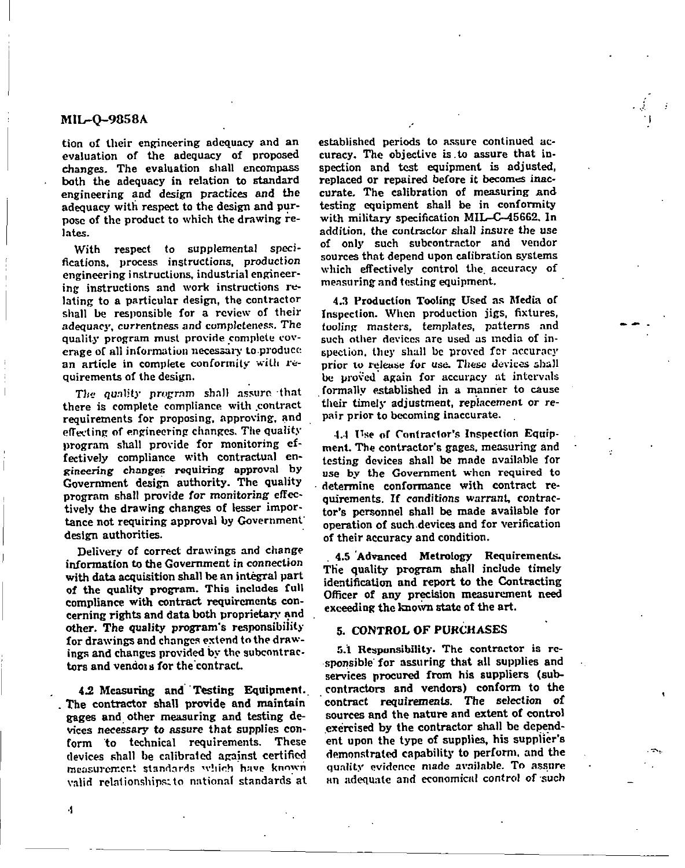# MIL-Q-9858A

tion of their engineering adequacy and an evaluation of the adequacy of proposed changes. The evaluation shall encompass both the adequacy in relation to standard engineering and design practices and the adequacy with respect to the design and purpose of the product to which the drawing relates.

With respect to supplemental specifications, process instructions, production engineering instructions, industrial engineering instructions and work instructions relating to a particular design, the contractor shall be responsible for a review of their adequacy, currentness and completeness. The quality program must provide complete coverage of all information necessary to produce an article in complete conformity with requirements of the design.

The quality program shall assure that there is complete compliance with contract requirements for proposing, approving, and effecting of engineering changes. The quality program shall provide for monitoring effectively compliance with contractual engineering changes requiring approval by Government design authority. The quality program shall provide for monitoring effectively the drawing changes of lesser importance not requiring approval by Government design authorities.

Delivery of correct drawings and change information to the Government in connection with data acquisition shall be an integral part of the quality program. This includes full compliance with contract requirements concerning rights and data both proprietary and other. The quality program's responsibility for drawings and changes extend to the drawings and changes provided by the subcontractors and vendors for the contract.

4.2 Measuring and Testing Equipment. The contractor shall provide and maintain gages and other measuring and testing devices necessary to assure that supplies conform to technical requirements. These devices shall be calibrated against certified measurement standards which have known valid relationships: to national standards at

established periods to assure continued accuracy. The objective is to assure that inspection and test equipment is adjusted, replaced or repaired before it becomes inaccurate. The calibration of measuring and testing equipment shall be in conformity with military specification MIL-C-45662. In addition, the contractor shall insure the use of only such subcontractor and vendor sources that depend upon calibration systems which effectively control the accuracy of measuring and testing equipment.

4.3 Production Tooling Used as Media of Inspection. When production jigs, fixtures, tooling masters, templates, patterns and such other devices are used as media of inspection, they shall be proved for accuracy prior to release for use. These devices shall be proved again for accuracy at intervals formally established in a manner to cause their timely adjustment, replacement or repair prior to becoming inaccurate.

4.4 Use of Contractor's Inspection Equipment. The contractor's gages, measuring and testing devices shall be made available for use by the Government when required to determine conformance with contract requirements. If conditions warrant, contractor's personnel shall be made available for operation of such devices and for verification of their accuracy and condition.

4.5 Advanced Metrology Requirements. The quality program shall include timely identification and report to the Contracting Officer of any precision measurement need exceeding the known state of the art.

#### 5. CONTROL OF PURCHASES

5.1 Responsibility. The contractor is responsible for assuring that all supplies and services procured from his suppliers (subcontractors and vendors) conform to the contract requirements. The selection of sources and the nature and extent of control exercised by the contractor shall be dependent upon the type of supplies, his supplier's demonstrated capability to perform, and the quality evidence made available. To assure an adequate and economical control of such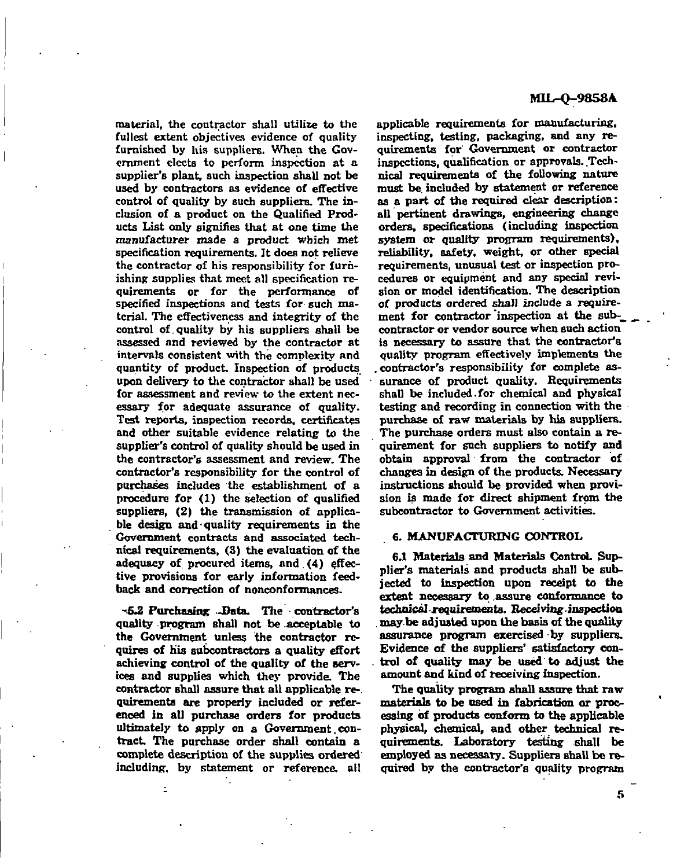material, the contractor shall utilize to the fullest extent objectives evidence of quality furnished by his suppliers. When the Government elects to perform inspection at a supplier's plant, such inspection shall not be used by contractors as evidence of effective control of quality by such suppliers. The inclusion of a product on the Qualified Products List only signifies that at one time the manufacturer made a product which met specification requirements. It does not relieve the contractor of his responsibility for furnishing supplies that meet all specification requirements or for the performance of specified inspections and tests for such material. The effectiveness and integrity of the control of quality by his suppliers shall be assessed and reviewed by the contractor at intervals consistent with the complexity and quantity of product. Inspection of products upon delivery to the contractor shall be used for assessment and review to the extent necessary for adequate assurance of quality. Test reports, inspection records, certificates and other suitable evidence relating to the supplier's control of quality should be used in the contractor's assessment and review. The contractor's responsibility for the control of purchases includes the establishment of a procedure for (1) the selection of qualified suppliers, (2) the transmission of applicable design and quality requirements in the Government contracts and associated technical requirements, (3) the evaluation of the adequacy of procured items, and (4) effective provisions for early information feedback and correction of nonconformances.

-5.2 Purchasing Data. The contractor's quality program shall not be acceptable to the Government unless the contractor requires of his subcontractors a quality effort achieving control of the quality of the services and supplies which they provide. The contractor shall assure that all applicable requirements are properly included or referenced in all purchase orders for products ultimately to apply on a Government contract. The purchase order shall contain a complete description of the supplies ordered including, by statement or reference, all

 $\overline{a}$ 

applicable requirements for manufacturing, inspecting, testing, packaging, and any requirements for Government or contractor inspections, qualification or approvals. Technical requirements of the following nature must be included by statement or reference as a part of the required clear description: all pertinent drawings, engineering change orders, specifications (including inspection system or quality program requirements), reliability, safety, weight, or other special requirements, unusual test or inspection procedures or equipment and any special revision or model identification. The description of products ordered shall include a requirement for contractor inspection at the subcontractor or vendor source when such action is necessary to assure that the contractor's quality program effectively implements the contractor's responsibility for complete assurance of product quality. Requirements shall be included for chemical and physical testing and recording in connection with the purchase of raw materials by his suppliers. The purchase orders must also contain a requirement for such suppliers to notify and obtain approval from the contractor of changes in design of the products. Necessary instructions should be provided when provision is made for direct shipment from the subcontractor to Government activities.

#### 6. MANUFACTURING CONTROL

6.1 Materials and Materials Control. Supplier's materials and products shall be subjected to inspection upon receipt to the extent necessary to assure conformance to technical requirements. Receiving inspection may be adjusted upon the basis of the quality assurance program exercised by suppliers. Evidence of the suppliers' satisfactory control of quality may be used to adjust the amount and kind of receiving inspection.

The quality program shall assure that raw materials to be used in fabrication or processing of products conform to the applicable physical, chemical, and other technical requirements. Laboratory testing shall be employed as necessary. Suppliers shall be required by the contractor's quality program

5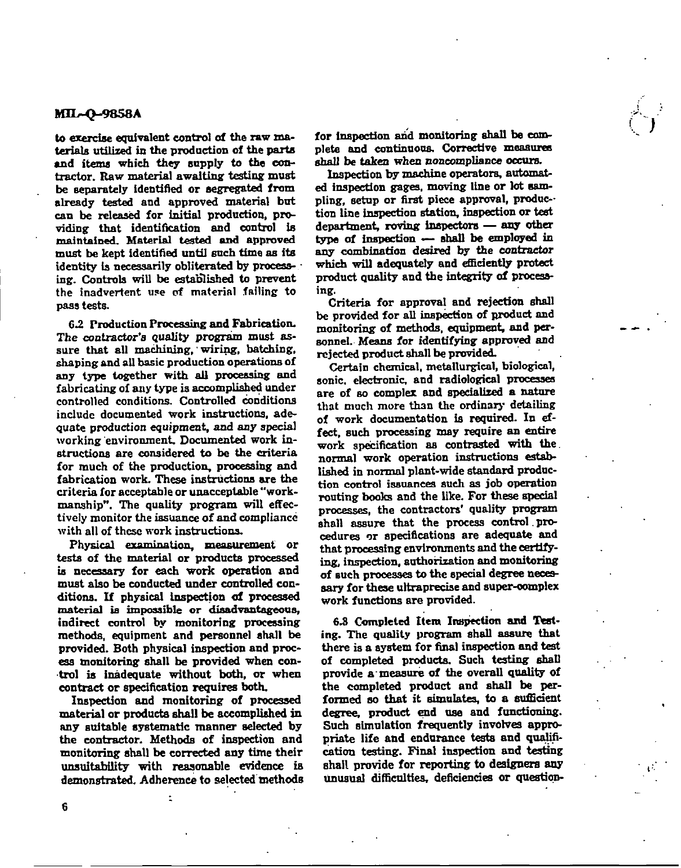### **MIL-O-9858A**

to exercise equivalent control of the raw materials utilized in the production of the parts and items which they supply to the contractor. Raw material awaiting testing must be separately identified or segregated from already tested and approved material but can be released for initial production, providing that identification and control is maintained. Material tested and approved must be kept identified until such time as its identity is necessarily obliterated by processing. Controls will be established to prevent the inadvertent use of material failing to pass tests.

6.2 Production Processing and Fabrication. The contractor's quality program must assure that all machining, wiring, batching, shaping and all basic production operations of any type together with all processing and fabricating of any type is accomplished under controlled conditions. Controlled conditions include documented work instructions, adequate production equipment, and any special working environment. Documented work instructions are considered to be the criteria for much of the production, processing and fabrication work. These instructions are the criteria for acceptable or unacceptable "workmanship". The quality program will effectively monitor the issuance of and compliance with all of these work instructions.

Physical examination, measurement or tests of the material or products processed is necessary for each work operation and must also be conducted under controlled conditions. If physical inspection of processed material is impossible or disadvantageous, indirect control by monitoring processing methods, equipment and personnel shall be provided. Both physical inspection and process monitoring shall be provided when control is inadequate without both, or when contract or specification requires both.

Inspection and monitoring of processed material or products shall be accomplished in any suitable systematic manner selected by the contractor. Methods of inspection and monitoring shall be corrected any time their unsuitability with reasonable evidence is demonstrated. Adherence to selected methods

 $\ddot{=}$ 

for inspection and monitoring shall be complete and continuous. Corrective measures shall be taken when noncompliance occurs.

Inspection by machine operators, automated inspection gages, moving line or lot sampling, setup or first piece approval, produc-tion line inspection station, inspection or test department, roving inspectors - any other type of inspection - shall be employed in any combination desired by the contractor which will adequately and efficiently protect product quality and the integrity of processing.

Criteria for approval and rejection shall be provided for all inspection of product and monitoring of methods, equipment, and personnel. Means for identifying approved and rejected product shall be provided.

Certain chemical, metallurgical, biological, sonic, electronic, and radiological processes are of so complex and specialized a nature that much more than the ordinary detailing of work documentation is required. In effect, such processing may require an entire work specification as contrasted with the. normal work operation instructions established in normal plant-wide standard production control issuances such as job operation routing books and the like. For these special processes, the contractors' quality program shall assure that the process control procedures or specifications are adequate and that processing environments and the certifying, inspection, authorization and monitoring of such processes to the special degree necessary for these ultraprecise and super-complex work functions are provided.

6.3 Completed Item Inspection and Testing. The quality program shall assure that there is a system for final inspection and test of completed products. Such testing shall provide a measure of the overall quality of the completed product and shall be performed so that it simulates, to a sufficient degree, product end use and functioning. Such simulation frequently involves appropriate life and endurance tests and qualification testing. Final inspection and testing shall provide for reporting to designers any unusual difficulties, deficiencies or question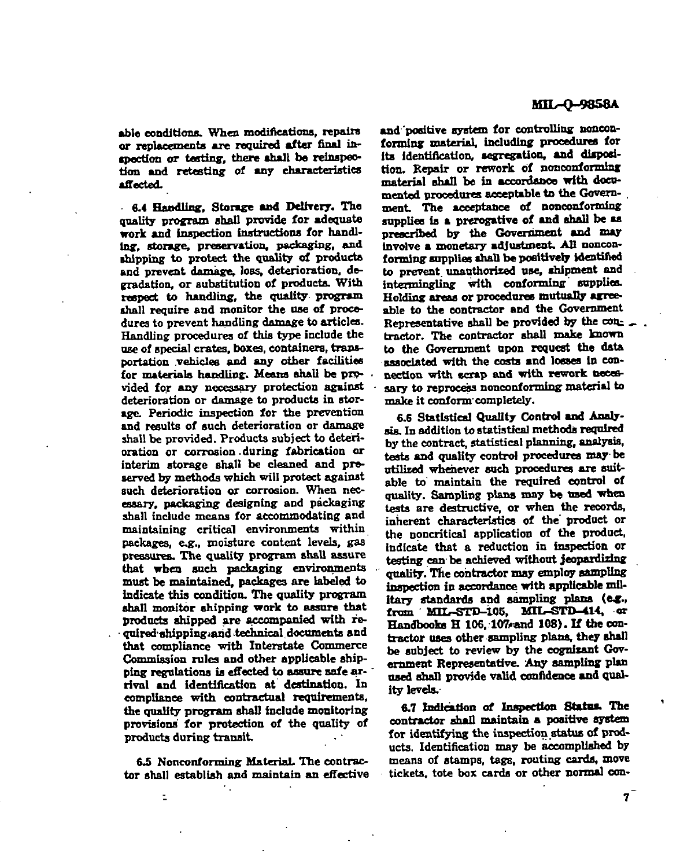able conditions. When modifications, repairs or replacements are required after final inspection or testing, there shall be reinspection and retesting of any characteristics affected.

6.4 Handling, Storage and Delivery. The quality program shall provide for adequate work and inspection instructions for handling, storage, preservation, packaging, and shipping to protect the quality of products and prevent damage, loss, deterioration, degradation, or substitution of products. With respect to handling, the quality program shall require and monitor the use of procedures to prevent handling damage to articles. Handling procedures of this type include the use of special crates, boxes, containers, transportation vehicles and any other facilities for materials handling. Means shall be provided for any necessary protection against deterioration or damage to products in storage. Periodic inspection for the prevention and results of such deterioration or damage shall be provided. Products subject to deterioration or corrosion during fabrication or interim storage shall be cleaned and preserved by methods which will protect against such deterioration or corrosion. When necessary, packaging designing and packaging shall include means for accommodating and maintaining critical environments within packages, e.g., moisture content levels, gas pressures. The quality program shall assure that when such packaging environments must be maintained, packages are labeled to indicate this condition. The quality program shall monitor shipping work to assure that products shipped are accompanied with required shipping and technical documents and that compliance with Interstate Commerce Commission rules and other applicable shipping regulations is effected to assure safe arrival and identification at destination. In compliance with contractual requirements, the quality program shall include monitoring provisions for protection of the quality of products during transit.

6.5 Nonconforming Material. The contractor shall establish and maintain an effective

 $\epsilon_{\rm in}$ 

 $\overline{a}$ 

and positive system for controlling nonconforming material, including procedures for its identification, segregation, and disposition. Repair or rework of nonconforming material shall be in accordance with documented procedures acceptable to the Government. The acceptance of nonconforming supplies is a prerogative of and shall be as prescribed by the Government and may involve a monetary adjustment. All nonconforming supplies shall be positively identified to prevent unauthorized use, shipment and intermingling with conforming supplies. Holding areas or procedures mutually agreeable to the contractor and the Government Representative shall be provided by the  $\cos \theta$ . tractor. The contractor shall make known to the Government upon request the data associated with the costs and losses in connection with scrap and with rework necessary to reprocess nonconforming material to make it conform completely.

6.6 Statistical Quality Control and Analysis. In addition to statistical methods required by the contract, statistical planning, analysis, tests and quality control procedures may be utilized whenever such procedures are suitable to maintain the required control of quality. Sampling plans may be used when tests are destructive, or when the records, inherent characteristics of the product or the noncritical application of the product, indicate that a reduction in inspection or testing can be achieved without jeopardizing quality. The contractor may employ sampling inspection in accordance with applicable military standards and sampling plans (e.g., from MIL-STD-105, MIL-STD-414, or Handbooks  $H$  106, 107 and 108). If the contractor uses other sampling plans, they shall be subject to review by the cognizant Government Representative. Any sampling plan used shall provide valid confidence and quality levels.

6.7 Indication of Inspection Status. The contractor shall maintain a positive system for identifying the inspection status of products. Identification may be accomplished by means of stamps, tags, routing cards, move tickets, tote box cards or other normal con-

 $\mathbf 7$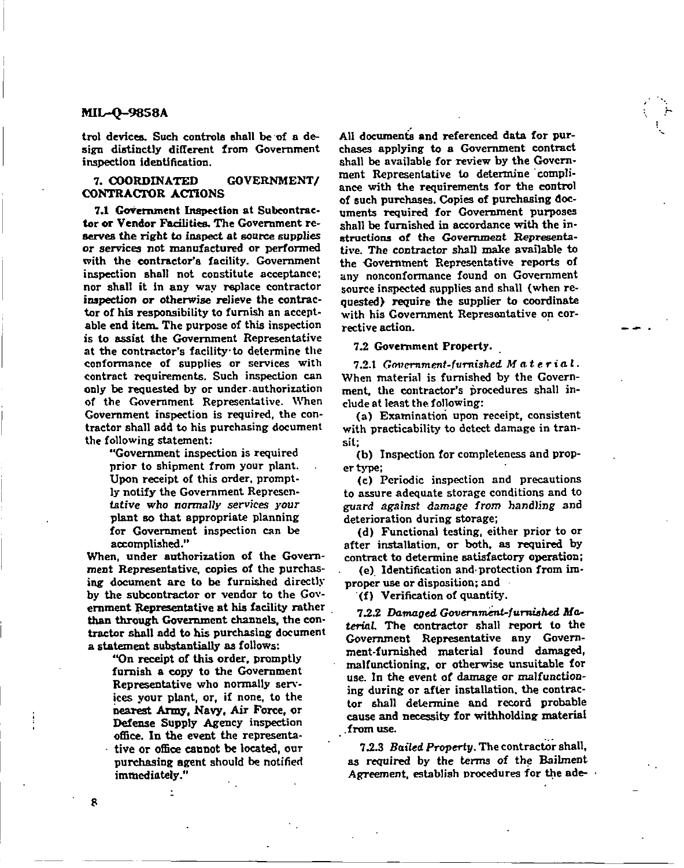#### **MIL-Q-9858A**

trol devices. Such controls shall be of a design distinctly different from Government inspection identification.

#### 7. COORDINATED **GOVERNMENT/** CONTRACTOR ACTIONS

7.1 Government Inspection at Subcontractor or Vendor Facilities. The Government reserves the right to inspect at source supplies or services not manufactured or performed with the contractor's facility. Government inspection shall not constitute acceptance; nor shall it in any way replace contractor inspection or otherwise relieve the contractor of his responsibility to furnish an acceptable end item. The purpose of this inspection is to assist the Government Representative at the contractor's facility to determine the conformance of supplies or services with contract requirements. Such inspection can only be requested by or under authorization of the Government Representative. When Government inspection is required, the contractor shall add to his purchasing document the following statement:

> "Government inspection is required prior to shipment from your plant. Upon receipt of this order, promptly notify the Government Representative who normally services your plant so that appropriate planning for Government inspection can be accomplished."

When, under authorization of the Government Representative, copies of the purchasing document are to be furnished directly by the subcontractor or vendor to the Government Representative at his facility rather than through Government channels, the contractor shall add to his purchasing document a statement substantially as follows:

> "On receipt of this order, promptly furnish a copy to the Government Representative who normally services your plant, or, if none, to the nearest Army, Navy, Air Force, or Defense Supply Agency inspection office. In the event the representative or office cannot be located, our purchasing agent should be notified immediately."

All documents and referenced data for purchases applying to a Government contract shall be available for review by the Government Representative to determine compliance with the requirements for the control of such purchases. Copies of purchasing documents required for Government purposes shall be furnished in accordance with the instructions of the Government Representative. The contractor shall make available to the Government Representative reports of any nonconformance found on Government source inspected supplies and shall (when requested) require the supplier to coordinate with his Government Representative on corrective action.

#### 7.2 Government Property.

7.2.1 Government-furnished Material. When material is furnished by the Government, the contractor's procedures shall include at least the following:

(a) Examination upon receipt, consistent with practicability to detect damage in transit;

(b) Inspection for completeness and proper type:

(c) Periodic inspection and precautions to assure adequate storage conditions and to guard against damage from handling and deterioration during storage;

(d) Functional testing, either prior to or after instaliation, or both, as required by contract to determine satisfactory operation;

(e) Identification and protection from improper use or disposition; and

(f) Verification of quantity.

7.2.2 Damaged Government-furnished Material. The contractor shall report to the Government Representative any Government-furnished material found damaged. malfunctioning, or otherwise unsuitable for use. In the event of damage or malfunctioning during or after installation, the contractor shall determine and record probable cause and necessity for withholding material from use.

7.2.3 Bailed Property. The contractor shall, as required by the terms of the Bailment Agreement, establish procedures for the ade-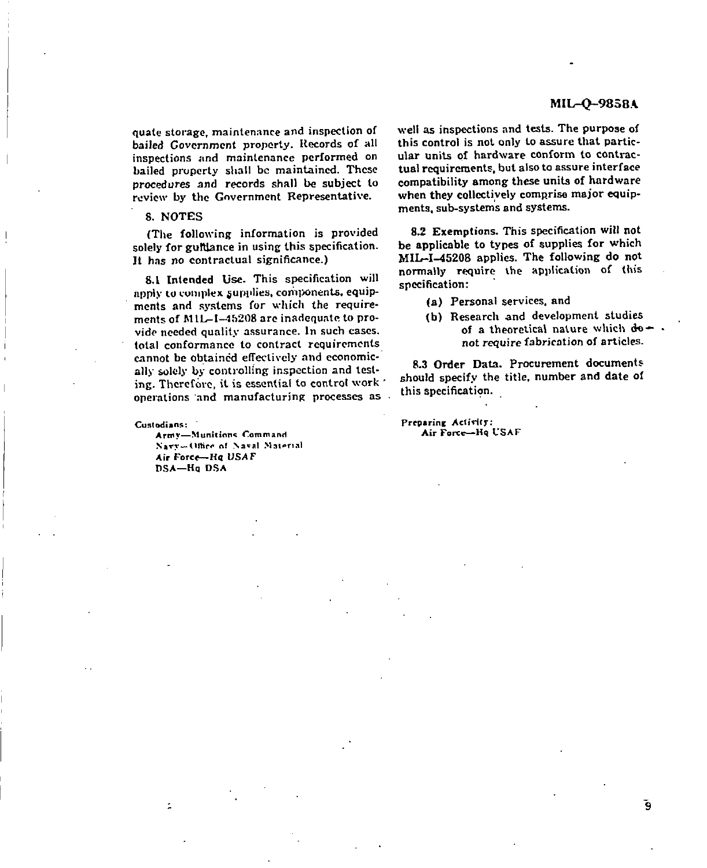#### MIL-Q-9858A

quate storage, maintenance and inspection of bailed Government property. Records of all inspections and maintenance performed on bailed property shall be maintained. These procedures and records shall be subject to review by the Government Representative.

# 8. NOTES

(The following information is provided solely for guidance in using this specification. It has no contractual significance.)

8.1 Intended Use. This specification will apply to complex supplies, components, equipments and systems for which the requirements of M1L-I-45208 are inadequate to provide needed quality assurance. In such cases. total conformance to contract requirements cannot be obtained effectively and economically solely by controlling inspection and testing. Therefore, it is essential to control work operations and manufacturing processes as

Custodians:

**Army-Munitions Command** Navy-Office of Naval Material Air Force-Hg USAF DSA-Ha DSA

well as inspections and tests. The purpose of this control is not only to assure that particular units of hardware conform to contractual requirements, but also to assure interface compatibility among these units of hardware when they collectively comprise major equipments, sub-systems and systems.

8.2 Exemptions. This specification will not be applicable to types of supplies for which MIL-I-45208 applies. The following do not normally require the application of this specification:

- (a) Personal services, and
- (b) Research and development studies of a theoretical nature which  $d\Phi$  not require fabrication of articles.

8.3 Order Data. Procurement documents should specify the title, number and date of this specification.

Preparing Activity: Air Force-Ho USAF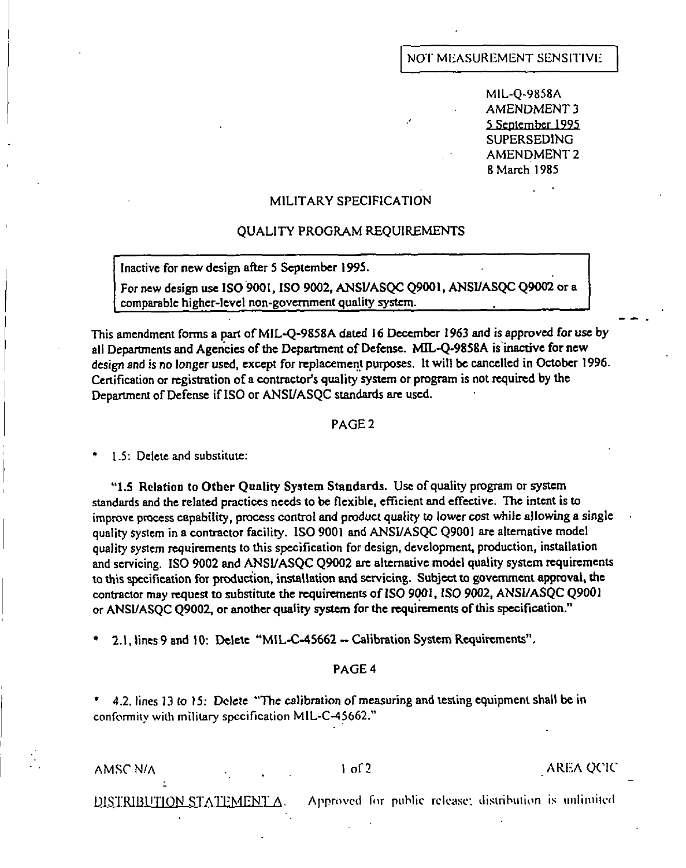# **NOT MEASUREMENT SENSITIVE**

**MIL-Q-9858A AMENDMENT 3** 5 September 1995 **SUPERSEDING AMENDMENT 2 8 March 1985**

# **MILITARY SPECIFICATION**

# **QUALITY PROGRAM REQUIREMENTS**

**Inactive** for new design after 5 September i 995.

For new design use ISO 9001, ISO 9002, ANSI/ASQC Q9001, ANSI/ASQC Q9002 or a comparable higher-level non-government quality system.

This amendment forms **a ~ of MIL-Q-9858A dated 16 December 1963 and is** approved for usc by all Departments and Agencies of the Department of Defense. MIL-Q-9858A is inactive for new design and is no longer used, except for replacement purposes. It will be cancelled in October 1996. Certification or registration of a contractor's quality system or program is not required by the Department of Defense if 1S0 or ANSUASQC standards are used.

# **I** PAGE 2

1.5: Delete and substitute:

"1.5 Relation to Other Quality System Standards. Use of quality program or system standards and the related practices needs to be flexible, efficient and effective. The intent is to improve process capability, process control and product quality to lower cost while allowing a single quality system in a contractor facility. ISO 9001 and ANSI/ASQC Q9001 are alternative model quality system requirements to this specification for design, development, production, installation and servicing. ISO 9002 and ANSI/ASQC Q9002 are alternative model quality system requirements to this specification for production, installation and servicing. Subject to government approval, the contractor may request to substitute the requirements of ISO 9001, ISO 9002, ANSI/ASQC Q9001 or ANSI/ASQC Q9002, or another quality system for the requirements of this specification."

2.1, lines 9 and 10: Delete "MIL-C-45662 - Calibration System Requirements".

# PAGE 4

4.2. lines 13 to 15: Delete "The calibration of measuring and testing equipment shall be in conformity with military specification MIL-C-45662."

**1**

 $\mathbf{r} \in \mathbb{R}^{n \times n}$ 

# AMSC N/A ,  $\begin{array}{ccc} 1 & 0 & 1 \end{array}$  of 2 ,  $\begin{array}{ccc} 1 & 0 & 0 \end{array}$  ,  $\begin{array}{ccc} 2 & 0 & 0 \end{array}$

---

DISTRIBUTION STATEMENT A. Approved for public release; distribution is unlimited